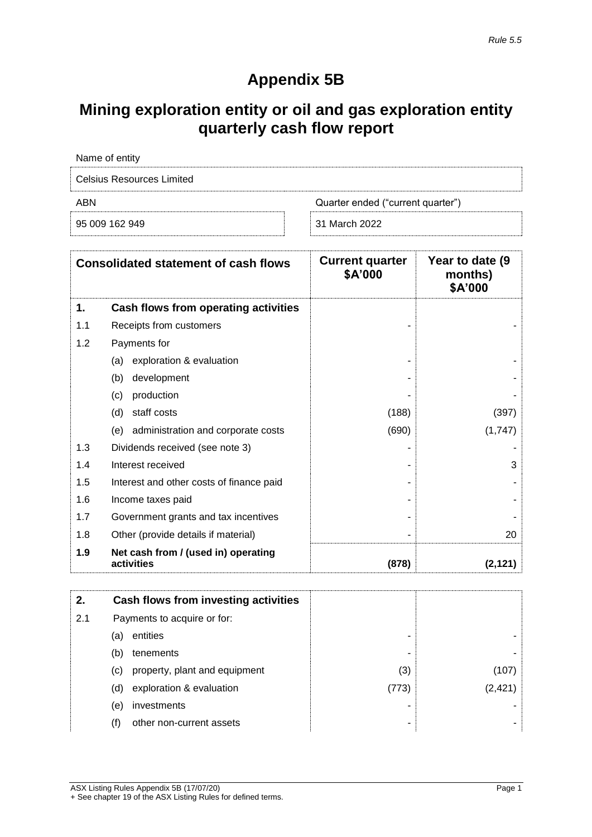# **Appendix 5B**

## **Mining exploration entity or oil and gas exploration entity quarterly cash flow report**

| Name of entity            |                                   |
|---------------------------|-----------------------------------|
| Celsius Resources Limited |                                   |
| ABN                       | Quarter ended ("current quarter") |
| 95 009 162 949            | 31 March 2022                     |

|     | <b>Consolidated statement of cash flows</b>       | <b>Current quarter</b><br>\$A'000 | Year to date (9)<br>months)<br>\$A'000 |
|-----|---------------------------------------------------|-----------------------------------|----------------------------------------|
| 1.  | Cash flows from operating activities              |                                   |                                        |
| 1.1 | Receipts from customers                           |                                   |                                        |
| 1.2 | Payments for                                      |                                   |                                        |
|     | exploration & evaluation<br>(a)                   |                                   |                                        |
|     | development<br>(b)                                |                                   |                                        |
|     | production<br>(c)                                 |                                   |                                        |
|     | staff costs<br>(d)                                | (188)                             | (397)                                  |
|     | administration and corporate costs<br>(e)         | (690)                             | (1,747)                                |
| 1.3 | Dividends received (see note 3)                   |                                   |                                        |
| 1.4 | Interest received                                 |                                   | 3                                      |
| 1.5 | Interest and other costs of finance paid          |                                   |                                        |
| 1.6 | Income taxes paid                                 |                                   |                                        |
| 1.7 | Government grants and tax incentives              |                                   |                                        |
| 1.8 | Other (provide details if material)               |                                   | 20                                     |
| 1.9 | Net cash from / (used in) operating<br>activities | (878)                             | (2, 121)                               |

| 2.  |     | Cash flows from investing activities |       |          |
|-----|-----|--------------------------------------|-------|----------|
| 2.1 |     | Payments to acquire or for:          |       |          |
|     | (a) | entities                             | -     |          |
|     | (b) | tenements                            | ۰     |          |
|     | (c) | property, plant and equipment        | (3)   | (107     |
|     | (d) | exploration & evaluation             | (773) | (2, 421) |
|     | (e) | investments                          |       |          |
|     | (f) | other non-current assets             | ۰     |          |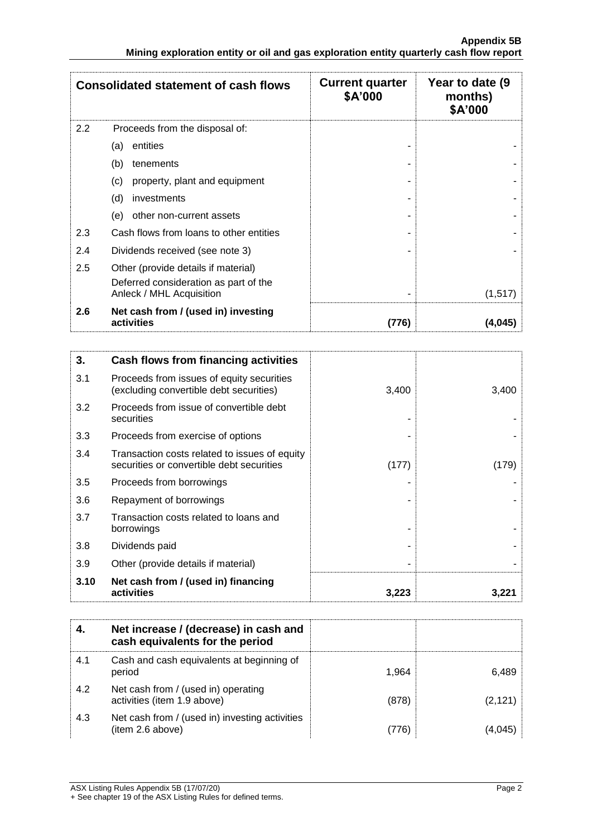|     | <b>Consolidated statement of cash flows</b>                       | <b>Current quarter</b><br>\$A'000 | Year to date (9)<br>months)<br>\$A'000 |
|-----|-------------------------------------------------------------------|-----------------------------------|----------------------------------------|
| 2.2 | Proceeds from the disposal of:                                    |                                   |                                        |
|     | entities<br>(a)                                                   |                                   |                                        |
|     | (b)<br>tenements                                                  |                                   |                                        |
|     | property, plant and equipment<br>(c)                              |                                   |                                        |
|     | (d)<br>investments                                                |                                   |                                        |
|     | other non-current assets<br>(e)                                   |                                   |                                        |
| 2.3 | Cash flows from loans to other entities                           |                                   |                                        |
| 2.4 | Dividends received (see note 3)                                   |                                   |                                        |
| 2.5 | Other (provide details if material)                               |                                   |                                        |
|     | Deferred consideration as part of the<br>Anleck / MHL Acquisition |                                   | (1,517)                                |
| 2.6 | Net cash from / (used in) investing<br>activities                 | (776)                             | (4,045)                                |

| 3.   | Cash flows from financing activities                                                       |       |       |
|------|--------------------------------------------------------------------------------------------|-------|-------|
| 3.1  | Proceeds from issues of equity securities<br>(excluding convertible debt securities)       | 3,400 | 3,400 |
| 3.2  | Proceeds from issue of convertible debt<br>securities                                      |       |       |
| 3.3  | Proceeds from exercise of options                                                          |       |       |
| 3.4  | Transaction costs related to issues of equity<br>securities or convertible debt securities | (177) | (179) |
| 3.5  | Proceeds from borrowings                                                                   |       |       |
| 3.6  | Repayment of borrowings                                                                    |       |       |
| 3.7  | Transaction costs related to loans and<br>borrowings                                       |       |       |
| 3.8  | Dividends paid                                                                             |       |       |
| 3.9  | Other (provide details if material)                                                        |       |       |
| 3.10 | Net cash from / (used in) financing<br>activities                                          | 3,223 | 3.221 |

|     | Net increase / (decrease) in cash and<br>cash equivalents for the period |       |         |
|-----|--------------------------------------------------------------------------|-------|---------|
| 4.1 | Cash and cash equivalents at beginning of<br>period                      | 1.964 | 6,489   |
| 4.2 | Net cash from / (used in) operating<br>activities (item 1.9 above)       | (878) | (2,121) |
| 4.3 | Net cash from / (used in) investing activities<br>(item 2.6 above)       | (776) | 14.045  |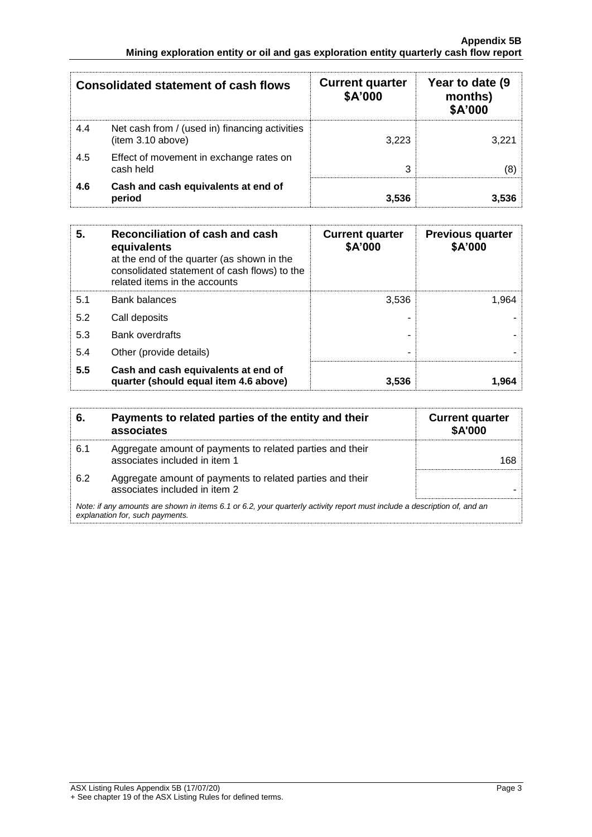#### **Appendix 5B Mining exploration entity or oil and gas exploration entity quarterly cash flow report**

|     | <b>Consolidated statement of cash flows</b>                         | <b>Current quarter</b><br>\$A'000 | Year to date (9<br>months)<br>\$A'000 |
|-----|---------------------------------------------------------------------|-----------------------------------|---------------------------------------|
| 4.4 | Net cash from / (used in) financing activities<br>(item 3.10 above) | 3.223                             | 3.221                                 |
| 4.5 | Effect of movement in exchange rates on<br>cash held                | 3                                 |                                       |
| 4.6 | Cash and cash equivalents at end of<br>period                       | 3.536                             | 3.536                                 |

| 5.  | Reconciliation of cash and cash<br>equivalents<br>at the end of the quarter (as shown in the<br>consolidated statement of cash flows) to the<br>related items in the accounts | <b>Current quarter</b><br>\$A'000 | <b>Previous quarter</b><br>\$A'000 |
|-----|-------------------------------------------------------------------------------------------------------------------------------------------------------------------------------|-----------------------------------|------------------------------------|
| 5.1 | <b>Bank balances</b>                                                                                                                                                          | 3,536                             | 1.964                              |
| 5.2 | Call deposits                                                                                                                                                                 |                                   |                                    |
| 5.3 | <b>Bank overdrafts</b>                                                                                                                                                        |                                   |                                    |
| 5.4 | Other (provide details)                                                                                                                                                       | -                                 |                                    |
| 5.5 | Cash and cash equivalents at end of<br>quarter (should equal item 4.6 above)                                                                                                  | 3,536                             | 1.964                              |

| 6.  | Payments to related parties of the entity and their<br>associates                                                                                           | <b>Current quarter</b><br><b>\$A'000</b> |
|-----|-------------------------------------------------------------------------------------------------------------------------------------------------------------|------------------------------------------|
| 6.1 | Aggregate amount of payments to related parties and their<br>associates included in item 1                                                                  | 168                                      |
| 6.2 | Aggregate amount of payments to related parties and their<br>associates included in item 2                                                                  |                                          |
|     | Note: if any amounts are shown in items 6.1 or 6.2, your quarterly activity report must include a description of, and an<br>explanation for, such payments. |                                          |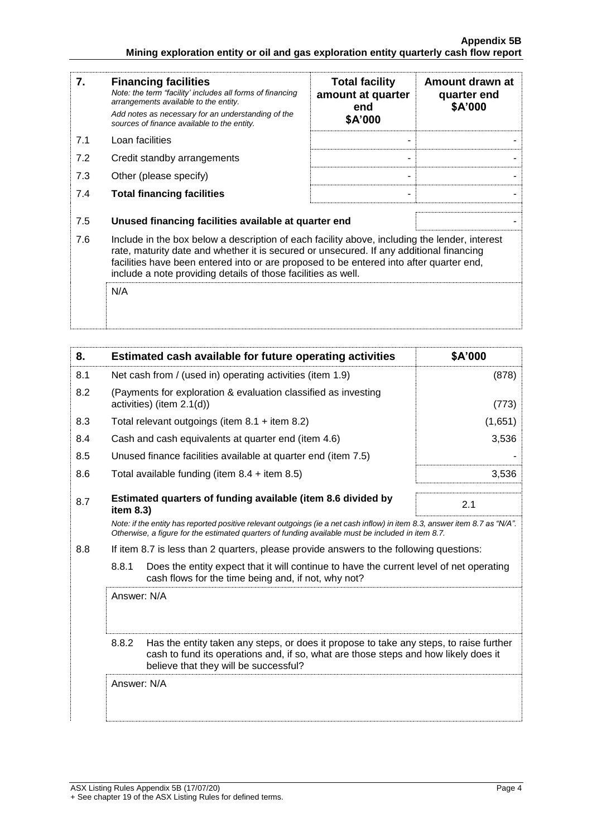| 7.  | <b>Financing facilities</b><br>Note: the term "facility' includes all forms of financing<br>arrangements available to the entity.<br>Add notes as necessary for an understanding of the<br>sources of finance available to the entity.                                                                                                               | <b>Total facility</b><br>amount at quarter<br>end<br>\$A'000 | Amount drawn at<br>quarter end<br>\$A'000 |
|-----|------------------------------------------------------------------------------------------------------------------------------------------------------------------------------------------------------------------------------------------------------------------------------------------------------------------------------------------------------|--------------------------------------------------------------|-------------------------------------------|
| 7.1 | Loan facilities                                                                                                                                                                                                                                                                                                                                      |                                                              |                                           |
| 7.2 | Credit standby arrangements                                                                                                                                                                                                                                                                                                                          |                                                              |                                           |
| 7.3 | Other (please specify)                                                                                                                                                                                                                                                                                                                               |                                                              |                                           |
| 7.4 | <b>Total financing facilities</b>                                                                                                                                                                                                                                                                                                                    | $\blacksquare$                                               |                                           |
| 7.5 | Unused financing facilities available at quarter end                                                                                                                                                                                                                                                                                                 |                                                              |                                           |
| 7.6 | Include in the box below a description of each facility above, including the lender, interest<br>rate, maturity date and whether it is secured or unsecured. If any additional financing<br>facilities have been entered into or are proposed to be entered into after quarter end,<br>include a note providing details of those facilities as well. |                                                              |                                           |
|     | N/A                                                                                                                                                                                                                                                                                                                                                  |                                                              |                                           |

| 8.  | Estimated cash available for future operating activities                                                                                                                                                                        | \$A'000 |
|-----|---------------------------------------------------------------------------------------------------------------------------------------------------------------------------------------------------------------------------------|---------|
| 8.1 | Net cash from / (used in) operating activities (item 1.9)                                                                                                                                                                       | (878)   |
| 8.2 | (Payments for exploration & evaluation classified as investing<br>activities) (item 2.1(d))                                                                                                                                     | (773)   |
| 8.3 | Total relevant outgoings (item $8.1 +$ item $8.2$ )                                                                                                                                                                             | (1,651) |
| 8.4 | Cash and cash equivalents at quarter end (item 4.6)                                                                                                                                                                             | 3,536   |
| 8.5 | Unused finance facilities available at quarter end (item 7.5)                                                                                                                                                                   |         |
| 8.6 | Total available funding (item $8.4 +$ item $8.5$ )                                                                                                                                                                              | 3,536   |
| 8.7 | Estimated quarters of funding available (item 8.6 divided by<br>item $8.3$ )                                                                                                                                                    | 2.1     |
|     | Note: if the entity has reported positive relevant outgoings (ie a net cash inflow) in item 8.3, answer item 8.7 as "N/A".<br>Otherwise, a figure for the estimated quarters of funding available must be included in item 8.7. |         |
| 8.8 | If item 8.7 is less than 2 quarters, please provide answers to the following questions:                                                                                                                                         |         |
|     | 8.8.1<br>Does the entity expect that it will continue to have the current level of net operating<br>cash flows for the time being and, if not, why not?                                                                         |         |
|     | Answer: N/A                                                                                                                                                                                                                     |         |
|     | 8.8.2<br>Has the entity taken any steps, or does it propose to take any steps, to raise further<br>cash to fund its operations and, if so, what are those steps and how likely does it<br>believe that they will be successful? |         |
|     | Answer: N/A                                                                                                                                                                                                                     |         |